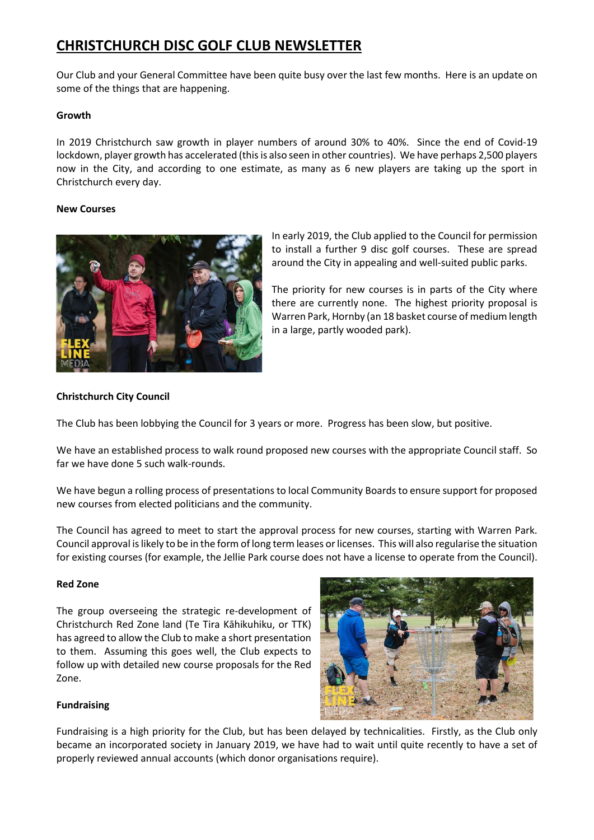# **CHRISTCHURCH DISC GOLF CLUB NEWSLETTER**

Our Club and your General Committee have been quite busy over the last few months. Here is an update on some of the things that are happening.

## **Growth**

In 2019 Christchurch saw growth in player numbers of around 30% to 40%. Since the end of Covid-19 lockdown, player growth has accelerated (this is also seen in other countries). We have perhaps 2,500 players now in the City, and according to one estimate, as many as 6 new players are taking up the sport in Christchurch every day.

## **New Courses**



In early 2019, the Club applied to the Council for permission to install a further 9 disc golf courses. These are spread around the City in appealing and well-suited public parks.

The priority for new courses is in parts of the City where there are currently none. The highest priority proposal is Warren Park, Hornby (an 18 basket course of medium length in a large, partly wooded park).

# **Christchurch City Council**

The Club has been lobbying the Council for 3 years or more. Progress has been slow, but positive.

We have an established process to walk round proposed new courses with the appropriate Council staff. So far we have done 5 such walk-rounds.

We have begun a rolling process of presentations to local Community Boards to ensure support for proposed new courses from elected politicians and the community.

The Council has agreed to meet to start the approval process for new courses, starting with Warren Park. Council approval is likely to be in the form of long term leases or licenses. This will also regularise the situation for existing courses (for example, the Jellie Park course does not have a license to operate from the Council).

### **Red Zone**

The group overseeing the strategic re-development of Christchurch Red Zone land (Te Tira Kāhikuhiku, or TTK) has agreed to allow the Club to make a short presentation to them. Assuming this goes well, the Club expects to follow up with detailed new course proposals for the Red Zone.



# **Fundraising**

Fundraising is a high priority for the Club, but has been delayed by technicalities. Firstly, as the Club only became an incorporated society in January 2019, we have had to wait until quite recently to have a set of properly reviewed annual accounts (which donor organisations require).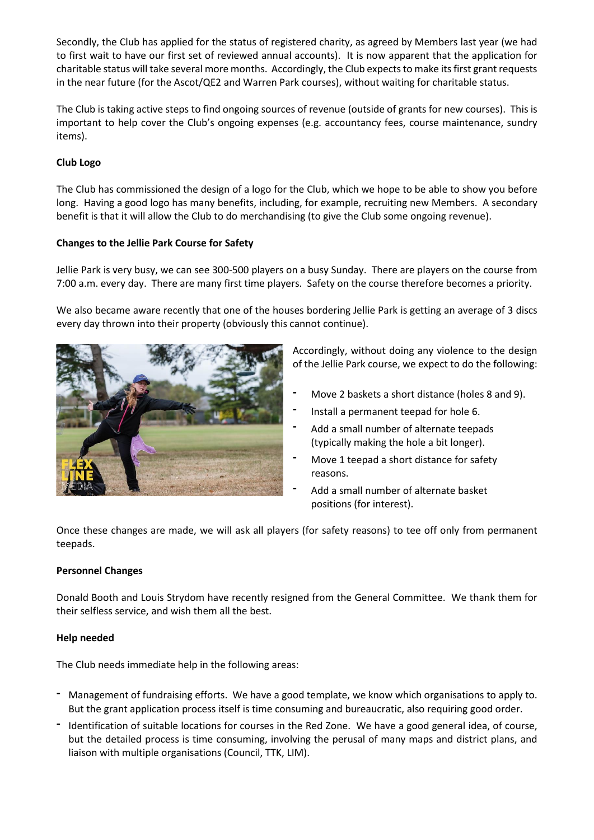Secondly, the Club has applied for the status of registered charity, as agreed by Members last year (we had to first wait to have our first set of reviewed annual accounts). It is now apparent that the application for charitable status will take several more months. Accordingly, the Club expectsto make itsfirst grant requests in the near future (for the Ascot/QE2 and Warren Park courses), without waiting for charitable status.

The Club is taking active steps to find ongoing sources of revenue (outside of grants for new courses). This is important to help cover the Club's ongoing expenses (e.g. accountancy fees, course maintenance, sundry items).

# **Club Logo**

The Club has commissioned the design of a logo for the Club, which we hope to be able to show you before long. Having a good logo has many benefits, including, for example, recruiting new Members. A secondary benefit is that it will allow the Club to do merchandising (to give the Club some ongoing revenue).

## **Changes to the Jellie Park Course for Safety**

Jellie Park is very busy, we can see 300-500 players on a busy Sunday. There are players on the course from 7:00 a.m. every day. There are many first time players. Safety on the course therefore becomes a priority.

We also became aware recently that one of the houses bordering Jellie Park is getting an average of 3 discs every day thrown into their property (obviously this cannot continue).



Accordingly, without doing any violence to the design of the Jellie Park course, we expect to do the following:

- **-** Move 2 baskets a short distance (holes 8 and 9).
- **-** Install a permanent teepad for hole 6.
- **-** Add a small number of alternate teepads (typically making the hole a bit longer).
- **-** Move 1 teepad a short distance for safety reasons.
- **-** Add a small number of alternate basket positions (for interest).

Once these changes are made, we will ask all players (for safety reasons) to tee off only from permanent teepads.

### **Personnel Changes**

Donald Booth and Louis Strydom have recently resigned from the General Committee. We thank them for their selfless service, and wish them all the best.

### **Help needed**

The Club needs immediate help in the following areas:

- **-** Management of fundraising efforts. We have a good template, we know which organisations to apply to. But the grant application process itself is time consuming and bureaucratic, also requiring good order.
- **-** Identification of suitable locations for courses in the Red Zone. We have a good general idea, of course, but the detailed process is time consuming, involving the perusal of many maps and district plans, and liaison with multiple organisations (Council, TTK, LIM).